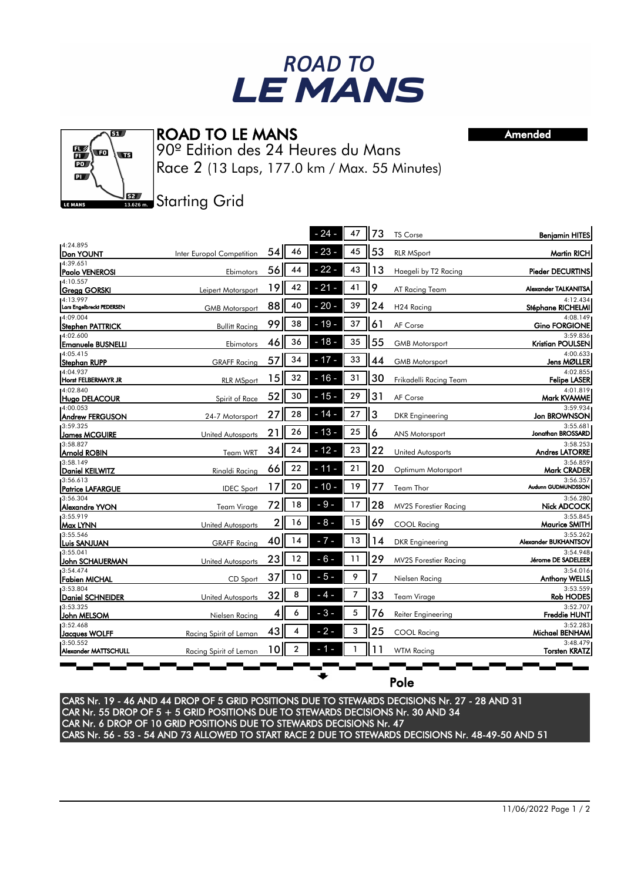

## ROAD TO LE MANS

ត្ 醫 w  $\overline{\mathbf{u}}$  $\overline{PQ}$  $\overline{\mathbf{p}}$  $52<sub>2</sub>$ LE MANS

90º Edition des 24 Heures du Mans Race 2 (13 Laps, 177.0 km / Max. 55 Minutes) Amended

## **Starting Grid**

|                                        |                           |      |    | $24 -$ | 47 | 73 | <b>TS Corse</b>              | <b>Benjamin HITES</b>               |
|----------------------------------------|---------------------------|------|----|--------|----|----|------------------------------|-------------------------------------|
| 4:24.895<br><b>IDon YOUNT</b>          | Inter Europol Competition | 54   | 46 | $23 -$ | 45 | 53 | <b>RLR MSport</b>            | <b>Martin RICH</b>                  |
| 4:39.651<br>Paolo VENEROSI             | Ebimotors                 | 56 I | 44 | $22 -$ | 43 | 13 | Haegeli by T2 Racing         | <b>Pieder DECURTINS</b>             |
| 4:10.557<br>Gregg GORSKI               | Leipert Motorsport        | 19   | 42 | $21 -$ | 41 | 9  | AT Racing Team               | Alexander TALKANITSA                |
| 14:13.997<br>Lars Engelbreckt PEDERSEN | <b>GMB Motorsport</b>     | 88   | 40 | $20 -$ | 39 | 24 | H <sub>24</sub> Racing       | 4:12.434<br>Stéphane RICHELMI       |
| 4:09.004<br><b>Stephen PATTRICK</b>    | <b>Bullitt Racing</b>     | 99   | 38 | $-19-$ | 37 | 61 | AF Corse                     | 4:08.149<br><b>Gino FORGIONE</b>    |
| 14:02.600<br><b>Emanuele BUSNELLI</b>  | Ebimotors                 | 46   | 36 | $18 -$ | 35 | 55 | <b>GMB Motorsport</b>        | 3:59.836<br><b>Kristian POULSEN</b> |
| 14:05.415<br>Stephan RUPP              | <b>GRAFF Racing</b>       | 57   | 34 | $17 -$ | 33 | 44 | <b>GMB Motorsport</b>        | 4:00.633<br>Jens MØLLER             |
| 14:04.937<br>Horst FELBERMAYR JR       | <b>RLR MSport</b>         | 15   | 32 | $16 -$ | 31 | 30 | Frikadelli Racing Team       | 4:02.855<br><b>Felipe LASER</b>     |
| 14:02.840<br>Hugo DELACOUR             | Spirit of Race            | 52   | 30 | $15 -$ | 29 | 31 | AF Corse                     | 4:01.819<br>Mark KVAMME             |
| 4:00.053<br><b>Andrew FERGUSON</b>     | 24-7 Motorsport           | 27   | 28 | $14 -$ | 27 | 3  | DKR Engineering              | 3:59.934<br>Jon BROWNSON            |
| 3:59.325<br><b>James MCGUIRE</b>       | United Autosports         | 21   | 26 | $13 -$ | 25 | 6  | <b>ANS Motorsport</b>        | 3:55.681<br>Jonathan BROSSARD       |
| 3:58.827<br><b>Arnold ROBIN</b>        | Team WRT                  | 34   | 24 | $12 -$ | 23 | 22 | United Autosports            | 3:58.253<br><b>Andres LATORRE</b>   |
| 3:58.149<br>Daniel KEILWITZ            | Rinaldi Racing            | 66   | 22 | 11     | 21 | 20 | Optimum Motorsport           | 3:56.859<br>Mark CRADER             |
| 3:56.613<br>Patrice LAFARGUE           | <b>IDEC Sport</b>         | 17   | 20 | $10 -$ | 19 | 77 | Team Thor                    | 3:56.357<br>Audunn GUDMUNDSSON      |
| 3:56.304<br>Alexandre YVON             | Team Virage               | 72   | 18 | $-9-$  | 17 | 28 | <b>MV2S Forestier Racing</b> | 3:56.280<br><b>Nick ADCOCK</b>      |
| 3:55.919<br>Max LYNN                   | <b>United Autosports</b>  | 2    | 16 | $-8-$  | 15 | 69 | <b>COOL Racing</b>           | 3:55.845<br><b>Maurice SMITH</b>    |
| 3:55.546<br>Luis SANJUAN               | <b>GRAFF Racing</b>       | 40   | 14 | - 7 -  | 13 | 14 | <b>DKR</b> Engineering       | 3:55.262<br>Alexander BUKHANTSOV    |
| 3:55.041<br>John SCHAUERMAN            | <b>United Autosports</b>  | 23   | 12 | $-6-$  | 11 | 29 | <b>MV2S Forestier Racing</b> | 3:54.948<br>Jérome DE SADELEER      |
| 3:54.474<br>Fabien MICHAL              | CD Sport                  | 37   | 10 | $-5-$  | 9  | 7  | Nielsen Racing               | 3:54.016<br><b>Anthony WELLS</b>    |
| 3:53.804<br>Daniel SCHNEIDER           | United Autosports         | 32   | 8  | - 4 -  | 7  | 33 | Team Virage                  | 3:53.559<br><b>Rob HODES</b>        |
| 3:53.325<br>John MELSOM                | Nielsen Racing            | 4    | 6  | $-3-$  | 5  | 76 | Reiter Engineering           | 3:52.707<br><b>Freddie HUNT</b>     |
| 3:52.468<br>Jacques WOLFF              | Racing Spirit of Leman    | 43   |    | $-2-$  | 3  | 25 | <b>COOL Racing</b>           | 3:52.283<br>Michael BENHAM          |
| 3:50.552<br>Alexander MATTSCHULL       | Racing Spirit of Leman    | 10   | 2  |        |    | 11 | <b>WTM Racing</b>            | 3:48.479<br><b>Torsten KRATZ</b>    |
|                                        |                           |      |    |        |    |    |                              |                                     |

Pole

CARS Nr. 19 - 46 AND 44 DROP OF 5 GRID POSITIONS DUE TO STEWARDS DECISIONS Nr. 27 - 28 AND 31 CAR Nr. 55 DROP OF 5 + 5 GRID POSITIONS DUE TO STEWARDS DECISIONS Nr. 30 AND 34 CAR Nr. 6 DROP OF 10 GRID POSITIONS DUE TO STEWARDS DECISIONS Nr. 47 CARS Nr. 56 - 53 - 54 AND 73 ALLOWED TO START RACE 2 DUE TO STEWARDS DECISIONS Nr. 48-49-50 AND 51